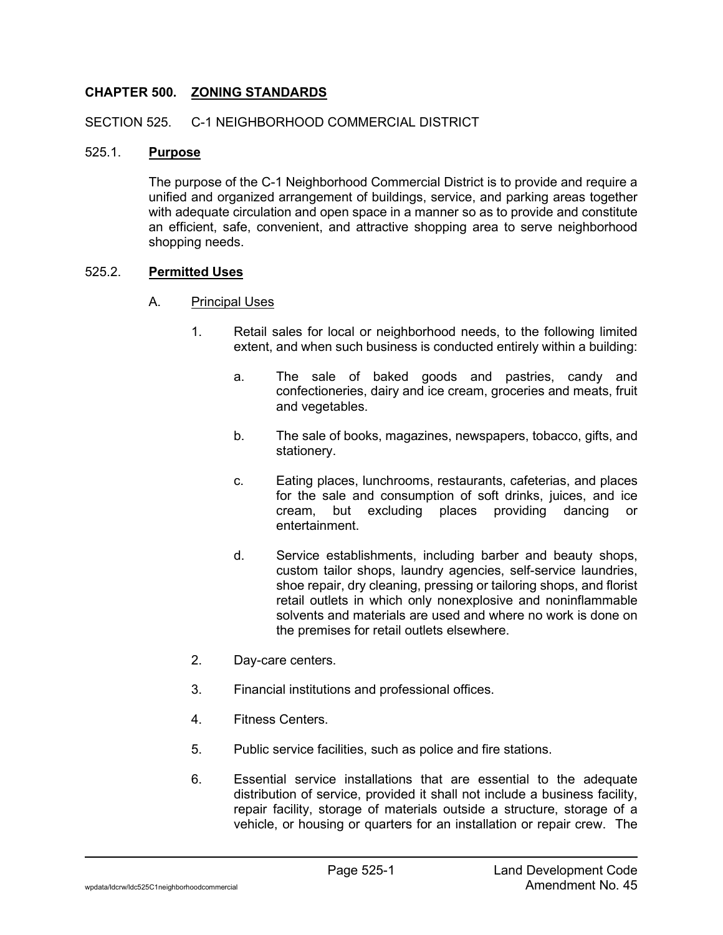## **CHAPTER 500. ZONING STANDARDS**

#### SECTION 525. C-1 NEIGHBORHOOD COMMERCIAL DISTRICT

#### 525.1. **Purpose**

The purpose of the C-1 Neighborhood Commercial District is to provide and require a unified and organized arrangement of buildings, service, and parking areas together with adequate circulation and open space in a manner so as to provide and constitute an efficient, safe, convenient, and attractive shopping area to serve neighborhood shopping needs.

#### 525.2. **Permitted Uses**

#### A. Principal Uses

- 1. Retail sales for local or neighborhood needs, to the following limited extent, and when such business is conducted entirely within a building:
	- a. The sale of baked goods and pastries, candy and confectioneries, dairy and ice cream, groceries and meats, fruit and vegetables.
	- b. The sale of books, magazines, newspapers, tobacco, gifts, and stationery.
	- c. Eating places, lunchrooms, restaurants, cafeterias, and places for the sale and consumption of soft drinks, juices, and ice cream, but excluding places providing dancing or entertainment.
	- d. Service establishments, including barber and beauty shops, custom tailor shops, laundry agencies, self-service laundries, shoe repair, dry cleaning, pressing or tailoring shops, and florist retail outlets in which only nonexplosive and noninflammable solvents and materials are used and where no work is done on the premises for retail outlets elsewhere.
- 2. Day-care centers.
- 3. Financial institutions and professional offices.
- 4. Fitness Centers.
- 5. Public service facilities, such as police and fire stations.
- 6. Essential service installations that are essential to the adequate distribution of service, provided it shall not include a business facility, repair facility, storage of materials outside a structure, storage of a vehicle, or housing or quarters for an installation or repair crew. The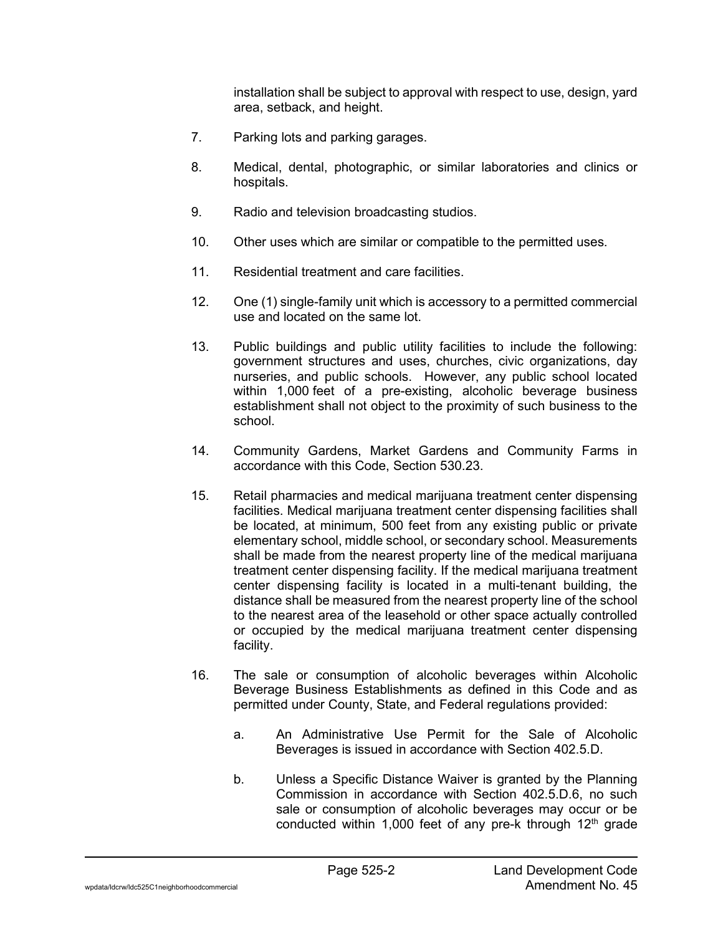installation shall be subject to approval with respect to use, design, yard area, setback, and height.

- 7. Parking lots and parking garages.
- 8. Medical, dental, photographic, or similar laboratories and clinics or hospitals.
- 9. Radio and television broadcasting studios.
- 10. Other uses which are similar or compatible to the permitted uses.
- 11. Residential treatment and care facilities.
- 12. One (1) single-family unit which is accessory to a permitted commercial use and located on the same lot.
- 13. Public buildings and public utility facilities to include the following: government structures and uses, churches, civic organizations, day nurseries, and public schools. However, any public school located within 1,000 feet of a pre-existing, alcoholic beverage business establishment shall not object to the proximity of such business to the school.
- 14. Community Gardens, Market Gardens and Community Farms in accordance with this Code, Section 530.23.
- 15. Retail pharmacies and medical marijuana treatment center dispensing facilities. Medical marijuana treatment center dispensing facilities shall be located, at minimum, 500 feet from any existing public or private elementary school, middle school, or secondary school. Measurements shall be made from the nearest property line of the medical marijuana treatment center dispensing facility. If the medical marijuana treatment center dispensing facility is located in a multi-tenant building, the distance shall be measured from the nearest property line of the school to the nearest area of the leasehold or other space actually controlled or occupied by the medical marijuana treatment center dispensing facility.
- 16. The sale or consumption of alcoholic beverages within Alcoholic Beverage Business Establishments as defined in this Code and as permitted under County, State, and Federal regulations provided:
	- a. An Administrative Use Permit for the Sale of Alcoholic Beverages is issued in accordance with Section 402.5.D.
	- b. Unless a Specific Distance Waiver is granted by the Planning Commission in accordance with Section 402.5.D.6, no such sale or consumption of alcoholic beverages may occur or be conducted within 1,000 feet of any pre-k through 12<sup>th</sup> grade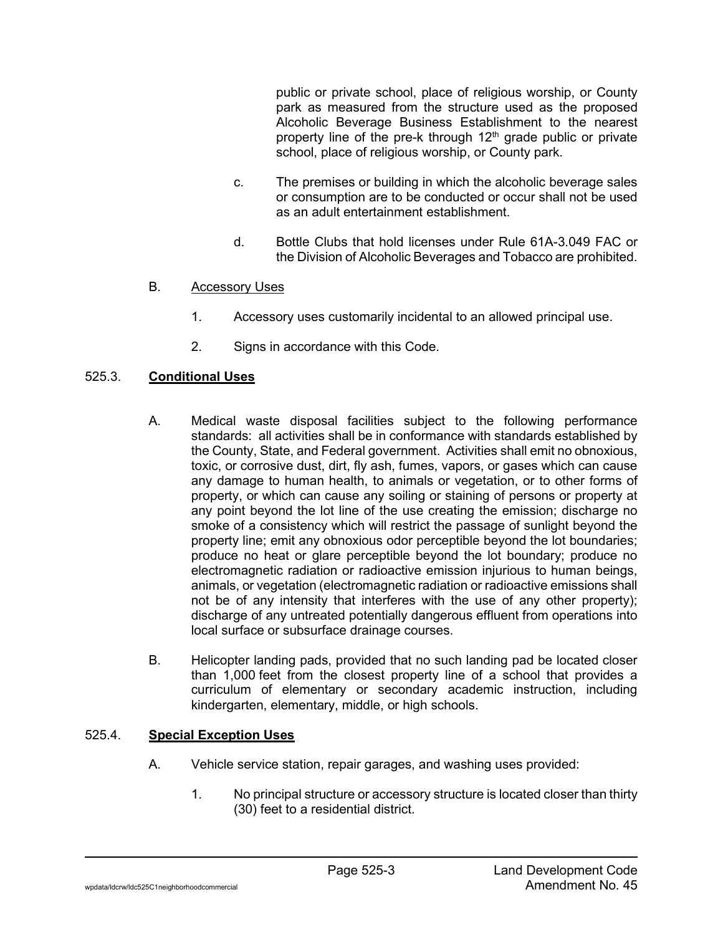public or private school, place of religious worship, or County park as measured from the structure used as the proposed Alcoholic Beverage Business Establishment to the nearest property line of the pre-k through  $12<sup>th</sup>$  grade public or private school, place of religious worship, or County park.

- c. The premises or building in which the alcoholic beverage sales or consumption are to be conducted or occur shall not be used as an adult entertainment establishment.
- d. Bottle Clubs that hold licenses under Rule 61A-3.049 FAC or the Division of Alcoholic Beverages and Tobacco are prohibited.

## B. Accessory Uses

- 1. Accessory uses customarily incidental to an allowed principal use.
- 2. Signs in accordance with this Code.

# 525.3. **Conditional Uses**

- A. Medical waste disposal facilities subject to the following performance standards: all activities shall be in conformance with standards established by the County, State, and Federal government. Activities shall emit no obnoxious, toxic, or corrosive dust, dirt, fly ash, fumes, vapors, or gases which can cause any damage to human health, to animals or vegetation, or to other forms of property, or which can cause any soiling or staining of persons or property at any point beyond the lot line of the use creating the emission; discharge no smoke of a consistency which will restrict the passage of sunlight beyond the property line; emit any obnoxious odor perceptible beyond the lot boundaries; produce no heat or glare perceptible beyond the lot boundary; produce no electromagnetic radiation or radioactive emission injurious to human beings, animals, or vegetation (electromagnetic radiation or radioactive emissions shall not be of any intensity that interferes with the use of any other property); discharge of any untreated potentially dangerous effluent from operations into local surface or subsurface drainage courses.
- B. Helicopter landing pads, provided that no such landing pad be located closer than 1,000 feet from the closest property line of a school that provides a curriculum of elementary or secondary academic instruction, including kindergarten, elementary, middle, or high schools.

## 525.4. **Special Exception Uses**

- A. Vehicle service station, repair garages, and washing uses provided:
	- 1. No principal structure or accessory structure is located closer than thirty (30) feet to a residential district.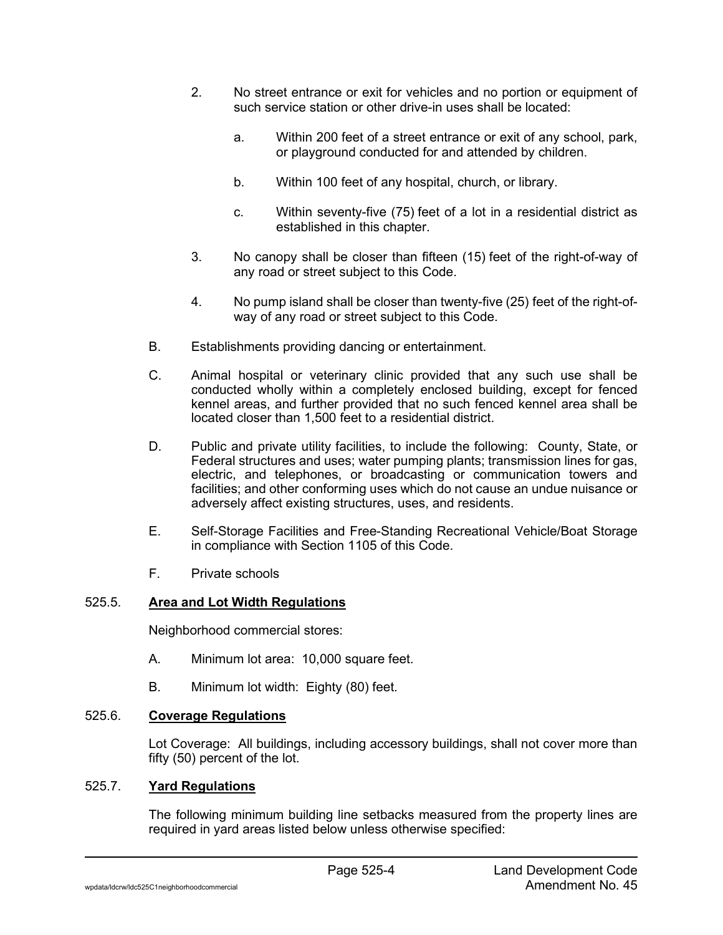- 2. No street entrance or exit for vehicles and no portion or equipment of such service station or other drive-in uses shall be located:
	- a. Within 200 feet of a street entrance or exit of any school, park, or playground conducted for and attended by children.
	- b. Within 100 feet of any hospital, church, or library.
	- c. Within seventy-five (75) feet of a lot in a residential district as established in this chapter.
- 3. No canopy shall be closer than fifteen (15) feet of the right-of-way of any road or street subject to this Code.
- 4. No pump island shall be closer than twenty-five (25) feet of the right-ofway of any road or street subject to this Code.
- B. Establishments providing dancing or entertainment.
- C. Animal hospital or veterinary clinic provided that any such use shall be conducted wholly within a completely enclosed building, except for fenced kennel areas, and further provided that no such fenced kennel area shall be located closer than 1,500 feet to a residential district.
- D. Public and private utility facilities, to include the following: County, State, or Federal structures and uses; water pumping plants; transmission lines for gas, electric, and telephones, or broadcasting or communication towers and facilities; and other conforming uses which do not cause an undue nuisance or adversely affect existing structures, uses, and residents.
- E. Self-Storage Facilities and Free-Standing Recreational Vehicle/Boat Storage in compliance with Section 1105 of this Code.
- F. Private schools

### 525.5. **Area and Lot Width Regulations**

Neighborhood commercial stores:

- A. Minimum lot area: 10,000 square feet.
- B. Minimum lot width: Eighty (80) feet.

### 525.6. **Coverage Regulations**

Lot Coverage: All buildings, including accessory buildings, shall not cover more than fifty (50) percent of the lot.

### 525.7. **Yard Regulations**

The following minimum building line setbacks measured from the property lines are required in yard areas listed below unless otherwise specified: